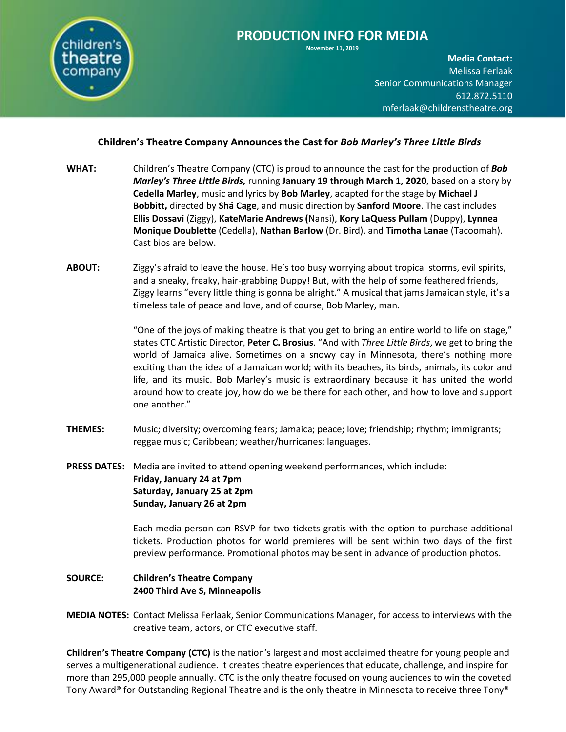

**November 11, 2019**

**Media Contact:**  Melissa Ferlaak Senior Communications Manager 612.872.5110 [mferlaak@childrenstheatre.org](mailto:mferlaak@childrenstheatre.org)

## **Children's Theatre Company Announces the Cast for** *Bob Marley's Three Little Birds*

- **WHAT:** Children's Theatre Company (CTC) is proud to announce the cast for the production of *Bob Marley's Three Little Birds,* running **January 19 through March 1, 2020**, based on a story by **Cedella Marley**, music and lyrics by **Bob Marley**, adapted for the stage by **Michael J Bobbitt,** directed by **Shá Cage**, and music direction by **Sanford Moore**. The cast includes **Ellis Dossavi** (Ziggy), **KateMarie Andrews (**Nansi), **Kory LaQuess Pullam** (Duppy), **Lynnea Monique Doublette** (Cedella), **Nathan Barlow** (Dr. Bird), and **Timotha Lanae** (Tacoomah). Cast bios are below.
- **ABOUT:** Ziggy's afraid to leave the house. He's too busy worrying about tropical storms, evil spirits, and a sneaky, freaky, hair-grabbing Duppy! But, with the help of some feathered friends, Ziggy learns "every little thing is gonna be alright." A musical that jams Jamaican style, it's a timeless tale of peace and love, and of course, Bob Marley, man.

"One of the joys of making theatre is that you get to bring an entire world to life on stage," states CTC Artistic Director, **Peter C. Brosius**. "And with *Three Little Birds*, we get to bring the world of Jamaica alive. Sometimes on a snowy day in Minnesota, there's nothing more exciting than the idea of a Jamaican world; with its beaches, its birds, animals, its color and life, and its music. Bob Marley's music is extraordinary because it has united the world around how to create joy, how do we be there for each other, and how to love and support one another."

- **THEMES:** Music; diversity; overcoming fears; Jamaica; peace; love; friendship; rhythm; immigrants; reggae music; Caribbean; weather/hurricanes; languages.
- **PRESS DATES:** Media are invited to attend opening weekend performances, which include: **Friday, January 24 at 7pm Saturday, January 25 at 2pm Sunday, January 26 at 2pm**

Each media person can RSVP for two tickets gratis with the option to purchase additional tickets. Production photos for world premieres will be sent within two days of the first preview performance. Promotional photos may be sent in advance of production photos.

## **SOURCE: Children's Theatre Company 2400 Third Ave S, Minneapolis**

**MEDIA NOTES:** Contact Melissa Ferlaak, Senior Communications Manager, for access to interviews with the creative team, actors, or CTC executive staff.

**Children's Theatre Company (CTC)** is the nation's largest and most acclaimed theatre for young people and serves a multigenerational audience. It creates theatre experiences that educate, challenge, and inspire for more than 295,000 people annually. CTC is the only theatre focused on young audiences to win the coveted Tony Award® for Outstanding Regional Theatre and is the only theatre in Minnesota to receive three Tony®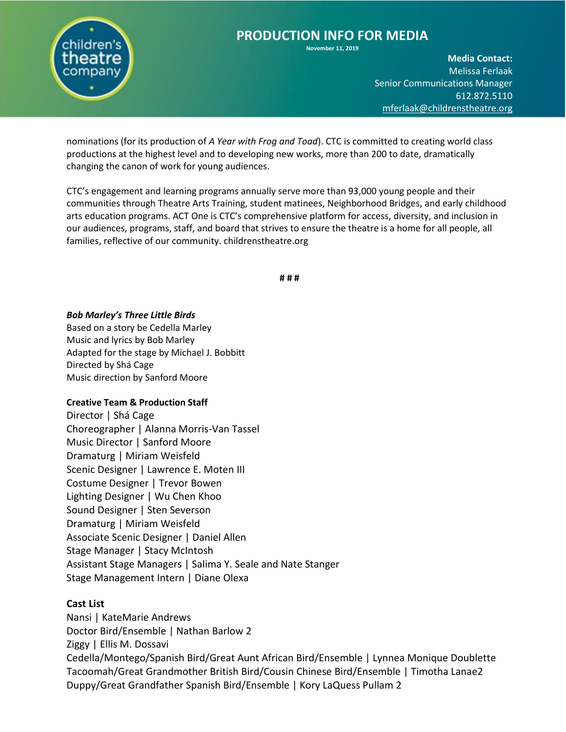

**November 11, 2019**

**Media Contact:**  Melissa Ferlaak Senior Communications Manager 612.872.5110 [mferlaak@childrenstheatre.org](mailto:mferlaak@childrenstheatre.org)

nominations (for its production of *A Year with Frog and Toad*). CTC is committed to creating world class productions at the highest level and to developing new works, more than 200 to date, dramatically changing the canon of work for young audiences.

CTC's engagement and learning programs annually serve more than 93,000 young people and their communities through Theatre Arts Training, student matinees, Neighborhood Bridges, and early childhood arts education programs. ACT One is CTC's comprehensive platform for access, diversity, and inclusion in our audiences, programs, staff, and board that strives to ensure the theatre is a home for all people, all families, reflective of our community. childrenstheatre.org

**# # #**

### *Bob Marley's Three Little Birds*

Based on a story be Cedella Marley Music and lyrics by Bob Marley Adapted for the stage by Michael J. Bobbitt Directed by Shá Cage Music direction by Sanford Moore

### **Creative Team & Production Staff**

Director | Shá Cage Choreographer | Alanna Morris-Van Tassel Music Director | Sanford Moore Dramaturg | Miriam Weisfeld Scenic Designer | Lawrence E. Moten III Costume Designer | Trevor Bowen Lighting Designer | Wu Chen Khoo Sound Designer | Sten Severson Dramaturg | Miriam Weisfeld Associate Scenic Designer | Daniel Allen Stage Manager | Stacy McIntosh Assistant Stage Managers | Salima Y. Seale and Nate Stanger Stage Management Intern | Diane Olexa

## **Cast List**

Nansi | KateMarie Andrews Doctor Bird/Ensemble | Nathan Barlow 2 Ziggy | Ellis M. Dossavi Cedella/Montego/Spanish Bird/Great Aunt African Bird/Ensemble | Lynnea Monique Doublette Tacoomah/Great Grandmother British Bird/Cousin Chinese Bird/Ensemble | Timotha Lanae2 Duppy/Great Grandfather Spanish Bird/Ensemble | Kory LaQuess Pullam 2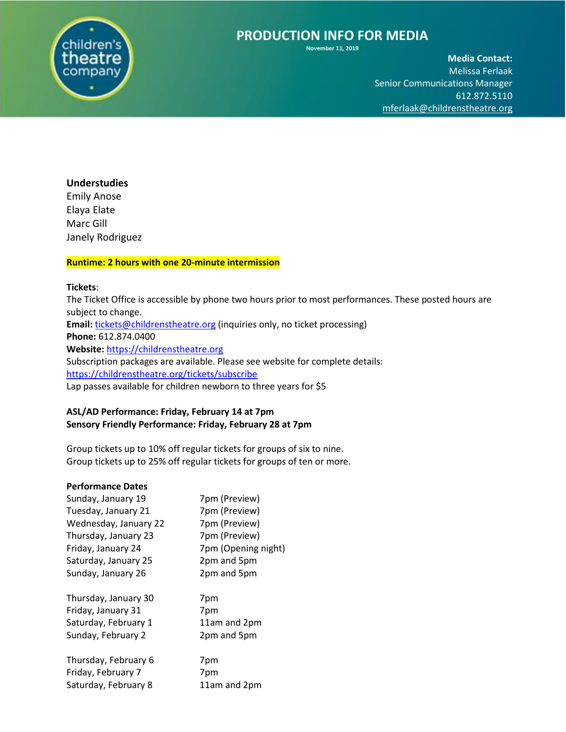

**November 11, 2019**

**Media Contact:**  Melissa Ferlaak Senior Communications Manager 612.872.5110 [mferlaak@childrenstheatre.org](mailto:mferlaak@childrenstheatre.org)

### **Understudies**

Emily Anose Elaya Elate Marc Gill Janely Rodriguez

## **Runtime: 2 hours with one 20-minute intermission**

### **Tickets**:

The Ticket Office is accessible by phone two hours prior to most performances. These posted hours are subject to change. Email: [tickets@childrenstheatre.org](mailto:tickets@childrenstheatre.org) (inquiries only, no ticket processing) **Phone:** 612.874.0400 **Website:** [https://childrenstheatre.org](https://childrenstheatre.org/) Subscription packages are available. Please see website for complete details: <https://childrenstheatre.org/tickets/subscribe> Lap passes available for children newborn to three years for \$5

### **ASL/AD Performance: Friday, February 14 at 7pm Sensory Friendly Performance: Friday, February 28 at 7pm**

Group tickets up to 10% off regular tickets for groups of six to nine. Group tickets up to 25% off regular tickets for groups of ten or more.

### **Performance Dates**

| 7pm (Preview)       |
|---------------------|
| 7pm (Preview)       |
| 7pm (Preview)       |
| 7pm (Preview)       |
| 7pm (Opening night) |
| 2pm and 5pm         |
| 2pm and 5pm         |
| 7pm                 |
| 7pm                 |
| 11am and 2pm        |
| 2pm and 5pm         |
| 7pm                 |
| 7pm                 |
| 11am and 2pm        |
|                     |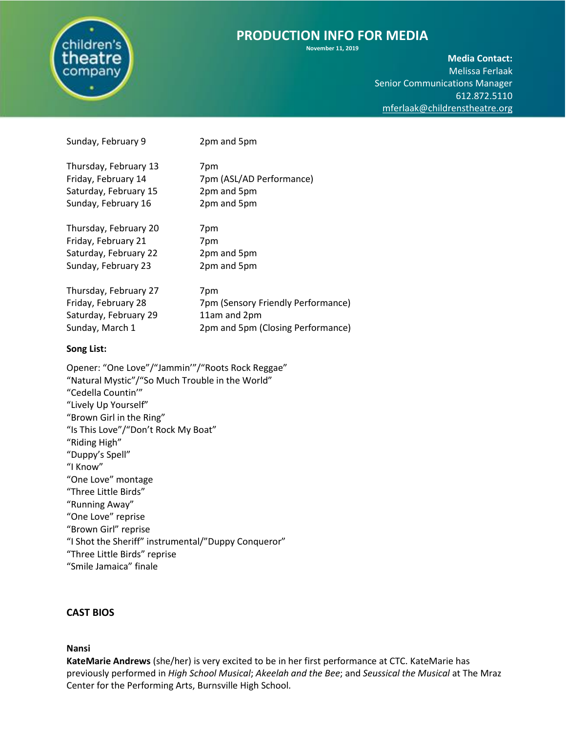

**November 11, 2019**

**Media Contact:**  Melissa Ferlaak Senior Communications Manager 612.872.5110 [mferlaak@childrenstheatre.org](mailto:mferlaak@childrenstheatre.org)

| Thursday, February 13 | 7pm                                |
|-----------------------|------------------------------------|
| Friday, February 14   | 7pm (ASL/AD Performance)           |
| Saturday, February 15 | 2pm and 5pm                        |
| Sunday, February 16   | 2pm and 5pm                        |
|                       |                                    |
| Thursday, February 20 | 7pm                                |
| Friday, February 21   | 7pm                                |
| Saturday, February 22 | 2pm and 5pm                        |
| Sunday, February 23   | 2pm and 5pm                        |
|                       |                                    |
| Thursday, February 27 | 7pm                                |
| Friday, February 28   | 7pm (Sensory Friendly Performance) |
| Saturday, February 29 | 11am and 2pm                       |
| Sunday, March 1       | 2pm and 5pm (Closing Performance)  |
|                       |                                    |
|                       |                                    |

Sunday, February 9 2pm and 5pm

#### **Song List:**

Opener: "One Love"/"Jammin'"/"Roots Rock Reggae" "Natural Mystic"/"So Much Trouble in the World" "Cedella Countin'" "Lively Up Yourself" "Brown Girl in the Ring" "Is This Love"/"Don't Rock My Boat" "Riding High" "Duppy's Spell" "I Know" "One Love" montage "Three Little Birds" "Running Away" "One Love" reprise "Brown Girl" reprise "I Shot the Sheriff" instrumental/"Duppy Conqueror" "Three Little Birds" reprise "Smile Jamaica" finale

### **CAST BIOS**

#### **Nansi**

**KateMarie Andrews** (she/her) is very excited to be in her first performance at CTC. KateMarie has previously performed in *High School Musical*; *Akeelah and the Bee*; and *Seussical the Musical* at The Mraz Center for the Performing Arts, Burnsville High School.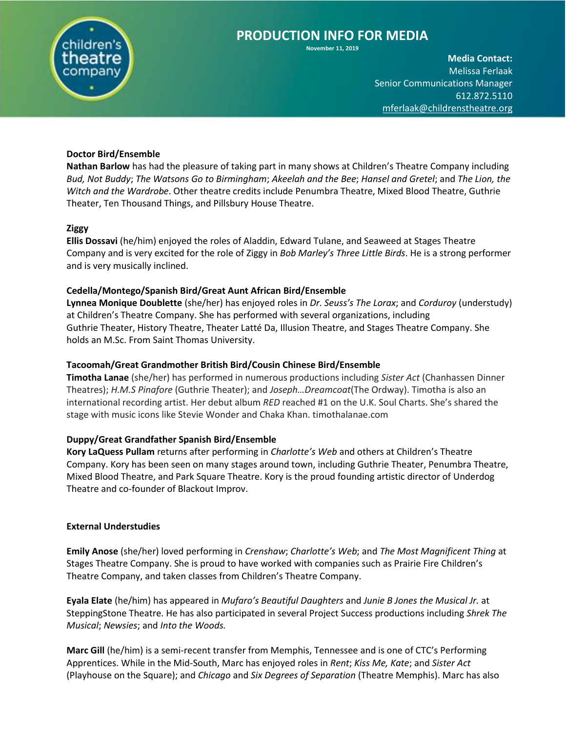

**November 11, 2019**

**Media Contact:**  Melissa Ferlaak Senior Communications Manager 612.872.5110 [mferlaak@childrenstheatre.org](mailto:mferlaak@childrenstheatre.org)

### **Doctor Bird/Ensemble**

**Nathan Barlow** has had the pleasure of taking part in many shows at Children's Theatre Company including *Bud, Not Buddy*; *The Watsons Go to Birmingham*; *Akeelah and the Bee*; *Hansel and Gretel*; and *The Lion, the Witch and the Wardrobe*. Other theatre credits include Penumbra Theatre, Mixed Blood Theatre, Guthrie Theater, Ten Thousand Things, and Pillsbury House Theatre.

### **Ziggy**

**Ellis Dossavi** (he/him) enjoyed the roles of Aladdin, Edward Tulane, and Seaweed at Stages Theatre Company and is very excited for the role of Ziggy in *Bob Marley's Three Little Birds*. He is a strong performer and is very musically inclined.

### **Cedella/Montego/Spanish Bird/Great Aunt African Bird/Ensemble**

**Lynnea Monique Doublette** (she/her) has enjoyed roles in *Dr. Seuss's The Lorax*; and *Corduroy* (understudy) at Children's Theatre Company. She has performed with several organizations, including Guthrie Theater, History Theatre, Theater Latté Da, Illusion Theatre, and Stages Theatre Company. She holds an M.Sc. From Saint Thomas University.

### **Tacoomah/Great Grandmother British Bird/Cousin Chinese Bird/Ensemble**

**Timotha Lanae** (she/her) has performed in numerous productions including *Sister Act* (Chanhassen Dinner Theatres); *H.M.S Pinafore* (Guthrie Theater); and *Joseph…Dreamcoat*(The Ordway). Timotha is also an international recording artist. Her debut album *RED* reached #1 on the U.K. Soul Charts. She's shared the stage with music icons like Stevie Wonder and Chaka Khan. timothalanae.com

### **Duppy/Great Grandfather Spanish Bird/Ensemble**

**Kory LaQuess Pullam** returns after performing in *Charlotte's Web* and others at Children's Theatre Company. Kory has been seen on many stages around town, including Guthrie Theater, Penumbra Theatre, Mixed Blood Theatre, and Park Square Theatre. Kory is the proud founding artistic director of Underdog Theatre and co-founder of Blackout Improv.

### **External Understudies**

**Emily Anose** (she/her) loved performing in *Crenshaw*; *Charlotte's Web*; and *The Most Magnificent Thing* at Stages Theatre Company. She is proud to have worked with companies such as Prairie Fire Children's Theatre Company, and taken classes from Children's Theatre Company.

**Eyala Elate** (he/him) has appeared in *Mufaro's Beautiful Daughters* and *Junie B Jones the Musical Jr.* at SteppingStone Theatre. He has also participated in several Project Success productions including *Shrek The Musical*; *Newsies*; and *Into the Woods.*

**Marc Gill** (he/him) is a semi-recent transfer from Memphis, Tennessee and is one of CTC's Performing Apprentices. While in the Mid-South, Marc has enjoyed roles in *Rent*; *Kiss Me, Kate*; and *Sister Act* (Playhouse on the Square); and *Chicago* and *Six Degrees of Separation* (Theatre Memphis). Marc has also